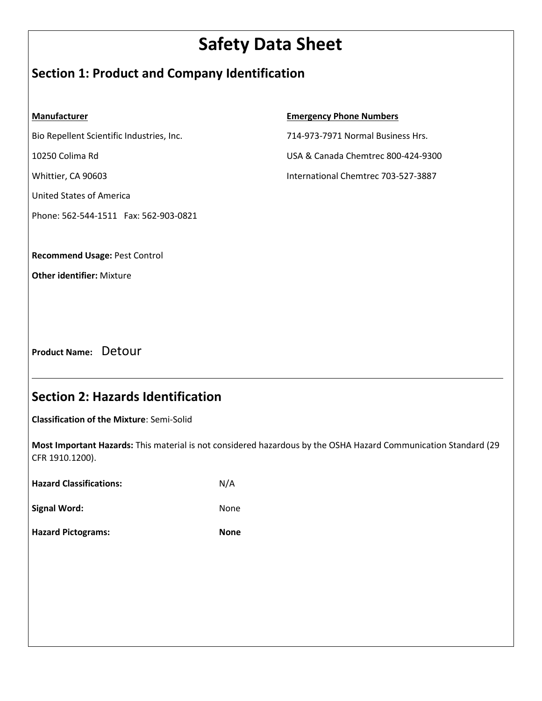# **Safety Data Sheet**

## **Section 1: Product and Company Identification**

#### **Manufacturer**

Bio Repellent Scientific Industries, Inc.

10250 Colima Rd

Whittier, CA 90603

United States of America

Phone: 562-544-1511 Fax: 562-903-0821

#### **Emergency Phone Numbers**

714-973-7971 Normal Business Hrs. USA & Canada Chemtrec 800-424-9300

International Chemtrec 703-527-3887

**Recommend Usage:** Pest Control

**Other identifier:** Mixture

**Product Name:** Detour

## **Section 2: Hazards Identification**

**Classification of the Mixture**: Semi-Solid

**Most Important Hazards:** This material is not considered hazardous by the OSHA Hazard Communication Standard (29 CFR 1910.1200).

<u>us and the contract of the contract of the contract of the contract of the contract of the contract of the con</u>

**Hazard Classifications:** N/A

Signal Word: **None** None

**Hazard Pictograms: None**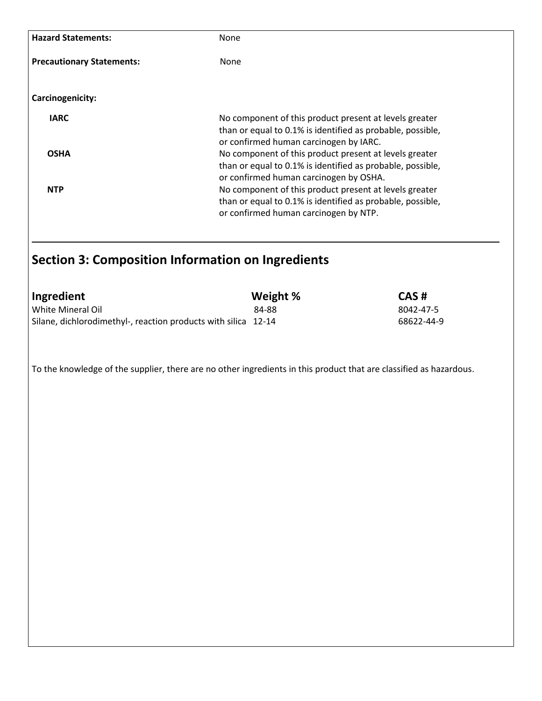| <b>None</b>                                                                                                                                                    |
|----------------------------------------------------------------------------------------------------------------------------------------------------------------|
| None                                                                                                                                                           |
|                                                                                                                                                                |
| No component of this product present at levels greater<br>than or equal to 0.1% is identified as probable, possible,<br>or confirmed human carcinogen by IARC. |
| No component of this product present at levels greater<br>than or equal to 0.1% is identified as probable, possible,<br>or confirmed human carcinogen by OSHA. |
| No component of this product present at levels greater<br>than or equal to 0.1% is identified as probable, possible,<br>or confirmed human carcinogen by NTP.  |
|                                                                                                                                                                |

### **Section 3: Composition Information on Ingredients**

| Ingredient                                                     | Weight % | CAS#       |
|----------------------------------------------------------------|----------|------------|
| White Mineral Oil                                              | 84-88    | 8042-47-5  |
| Silane, dichlorodimethyl-, reaction products with silica 12-14 |          | 68622-44-9 |

To the knowledge of the supplier, there are no other ingredients in this product that are classified as hazardous.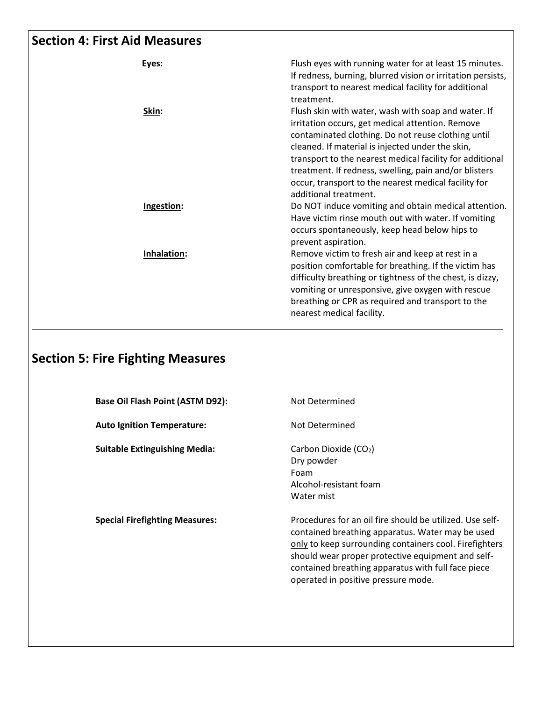## **Section 4: First Aid Measures**

| Eyes:       | Flush eyes with running water for at least 15 minutes.<br>If redness, burning, blurred vision or irritation persists,<br>transport to nearest medical facility for additional<br>treatment.                                                                                                                                                                                                                             |
|-------------|-------------------------------------------------------------------------------------------------------------------------------------------------------------------------------------------------------------------------------------------------------------------------------------------------------------------------------------------------------------------------------------------------------------------------|
| Skin:       | Flush skin with water, wash with soap and water. If<br>irritation occurs, get medical attention. Remove<br>contaminated clothing. Do not reuse clothing until<br>cleaned. If material is injected under the skin,<br>transport to the nearest medical facility for additional<br>treatment. If redness, swelling, pain and/or blisters<br>occur, transport to the nearest medical facility for<br>additional treatment. |
| Ingestion:  | Do NOT induce vomiting and obtain medical attention.<br>Have victim rinse mouth out with water. If vomiting<br>occurs spontaneously, keep head below hips to<br>prevent aspiration.                                                                                                                                                                                                                                     |
| Inhalation: | Remove victim to fresh air and keep at rest in a<br>position comfortable for breathing. If the victim has<br>difficulty breathing or tightness of the chest, is dizzy,<br>vomiting or unresponsive, give oxygen with rescue<br>breathing or CPR as required and transport to the<br>nearest medical facility.                                                                                                           |

# **Section 5: Fire Fighting Measures**

| Base Oil Flash Point (ASTM D92):      | Not Determined                                                                                                                                                                                                                                                                                                           |
|---------------------------------------|--------------------------------------------------------------------------------------------------------------------------------------------------------------------------------------------------------------------------------------------------------------------------------------------------------------------------|
| <b>Auto Ignition Temperature:</b>     | Not Determined                                                                                                                                                                                                                                                                                                           |
| <b>Suitable Extinguishing Media:</b>  | Carbon Dioxide (CO <sub>2</sub> )<br>Dry powder<br>Foam<br>Alcohol-resistant foam<br>Water mist                                                                                                                                                                                                                          |
| <b>Special Firefighting Measures:</b> | Procedures for an oil fire should be utilized. Use self-<br>contained breathing apparatus. Water may be used<br>only to keep surrounding containers cool. Firefighters<br>should wear proper protective equipment and self-<br>contained breathing apparatus with full face piece<br>operated in positive pressure mode. |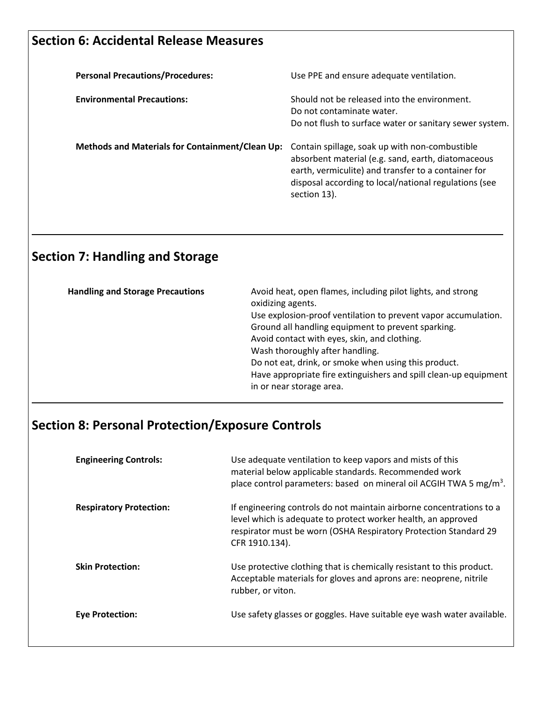## **Section 6: Accidental Release Measures**

| <b>Personal Precautions/Procedures:</b>                | Use PPE and ensure adequate ventilation.                                                                                                                                                                                             |
|--------------------------------------------------------|--------------------------------------------------------------------------------------------------------------------------------------------------------------------------------------------------------------------------------------|
| <b>Environmental Precautions:</b>                      | Should not be released into the environment.<br>Do not contaminate water.<br>Do not flush to surface water or sanitary sewer system.                                                                                                 |
| <b>Methods and Materials for Containment/Clean Up:</b> | Contain spillage, soak up with non-combustible<br>absorbent material (e.g. sand, earth, diatomaceous<br>earth, vermiculite) and transfer to a container for<br>disposal according to local/national regulations (see<br>section 13). |

# **Section 7: Handling and Storage**

| <b>Handling and Storage Precautions</b> | Avoid heat, open flames, including pilot lights, and strong<br>oxidizing agents.<br>Use explosion-proof ventilation to prevent vapor accumulation.<br>Ground all handling equipment to prevent sparking.<br>Avoid contact with eyes, skin, and clothing.<br>Wash thoroughly after handling.<br>Do not eat, drink, or smoke when using this product.<br>Have appropriate fire extinguishers and spill clean-up equipment<br>in or near storage area. |
|-----------------------------------------|-----------------------------------------------------------------------------------------------------------------------------------------------------------------------------------------------------------------------------------------------------------------------------------------------------------------------------------------------------------------------------------------------------------------------------------------------------|
|-----------------------------------------|-----------------------------------------------------------------------------------------------------------------------------------------------------------------------------------------------------------------------------------------------------------------------------------------------------------------------------------------------------------------------------------------------------------------------------------------------------|

<u>University of the contract of the contract of the contract of the contract of the contract of the contract of</u>

# **Section 8: Personal Protection/Exposure Controls**

| <b>Engineering Controls:</b>   | Use adequate ventilation to keep vapors and mists of this<br>material below applicable standards. Recommended work<br>place control parameters: based on mineral oil ACGIH TWA 5 mg/m <sup>3</sup> .                        |
|--------------------------------|-----------------------------------------------------------------------------------------------------------------------------------------------------------------------------------------------------------------------------|
| <b>Respiratory Protection:</b> | If engineering controls do not maintain airborne concentrations to a<br>level which is adequate to protect worker health, an approved<br>respirator must be worn (OSHA Respiratory Protection Standard 29<br>CFR 1910.134). |
| <b>Skin Protection:</b>        | Use protective clothing that is chemically resistant to this product.<br>Acceptable materials for gloves and aprons are: neoprene, nitrile<br>rubber, or viton.                                                             |
| <b>Eve Protection:</b>         | Use safety glasses or goggles. Have suitable eye wash water available.                                                                                                                                                      |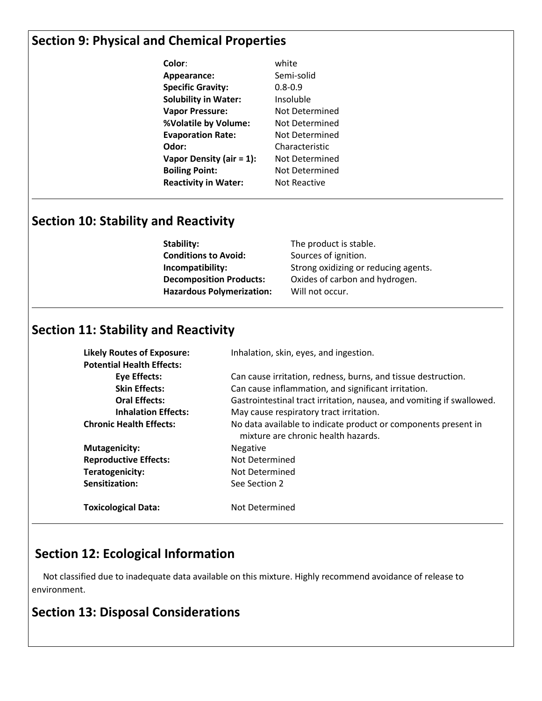## **Section 9: Physical and Chemical Properties**

| Color:                      | white                 |
|-----------------------------|-----------------------|
| Appearance:                 | Semi-solid            |
| <b>Specific Gravity:</b>    | $0.8 - 0.9$           |
| <b>Solubility in Water:</b> | Insoluble             |
| <b>Vapor Pressure:</b>      | Not Determined        |
| %Volatile by Volume:        | Not Determined        |
| <b>Evaporation Rate:</b>    | Not Determined        |
| Odor:                       | Characteristic        |
| Vapor Density (air $= 1$ ): | <b>Not Determined</b> |
| <b>Boiling Point:</b>       | Not Determined        |
| <b>Reactivity in Water:</b> | Not Reactive          |

<u>us and the contract of the contract of the contract of the contract of the contract of the contract of the con</u>

<u>University of the contract of the contract of the contract of the contract of the contract of the contract of</u>

## **Section 10: Stability and Reactivity**

**Stability:** The product is stable. **Conditions to Avoid:** Sources of ignition. **Incompatibility:** Strong oxidizing or reducing agents. **Decomposition Products:** Oxides of carbon and hydrogen. **Hazardous Polymerization:** Will not occur.

### **Section 11: Stability and Reactivity**

**Potential Health Effects:**

**Likely Routes of Exposure:** Inhalation, skin, eyes, and ingestion.

**Eye Effects:** Can cause irritation, redness, burns, and tissue destruction. **Skin Effects:** Can cause inflammation, and significant irritation. **Oral Effects:** Gastrointestinal tract irritation, nausea, and vomiting if swallowed. **Inhalation Effects:** May cause respiratory tract irritation. **Chronic Health Effects:** No data available to indicate product or components present in mixture are chronic health hazards. **Mutagenicity:** Negative **Reproductive Effects:** Not Determined **Teratogenicity:** Not Determined **Sensitization:** See Section 2 **Toxicological Data:** Not Determined

## **Section 12: Ecological Information**

 Not classified due to inadequate data available on this mixture. Highly recommend avoidance of release to environment.

<u>University of the contract of the contract of the contract of the contract of the contract of the contract of</u>

## **Section 13: Disposal Considerations**